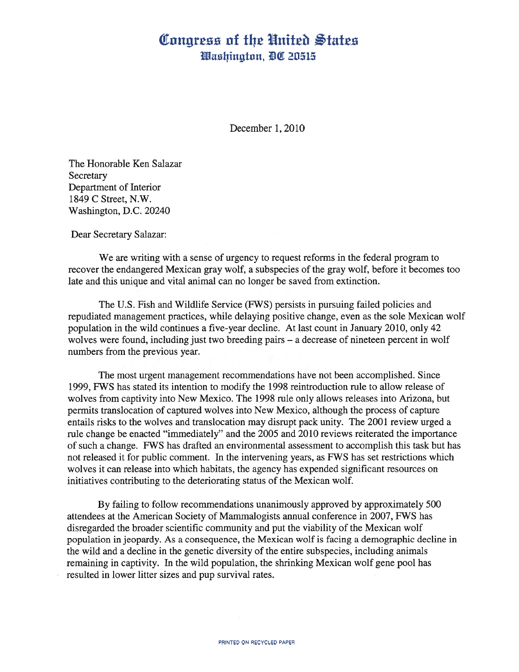## Congress of the United States Washington, DC 20515

December 1, 2010

The Honorable Ken Salazar Secretary Department of Interior 1849 C Street, N.W. Washington, D.C. 20240

Dear Secretary Salazar:

We are writing with <sup>a</sup> sense of urgency to request reforms in the federal program to recover the endangered Mexican gray wolf, <sup>a</sup> subspecies of the gray wolf, before it becomes too late and this unique and vital animal can no longer be saved from extinction.

The U.S. Fish and Wildlife Service (FWS) persists in pursuing failed policies and repudiated management practices, while delaying positive change, even as the sole Mexican wolf population in the wild continues <sup>a</sup> five-year decline. At last count in January 2010, only 42 wolves were found, including just two breeding pairs – a decrease of nineteen percent in wolf numbers from the previous year.

The most urgent management recommendations have not been accomplished. Since 1999, FWS has stated its intention to modify the 1998 reintroduction rule to allow release of wolves from captivity into New Mexico. The 1998 rule only allows releases into Arizona, but permits translocation of captured wolves into New Mexico, although the process of capture entails risks to the wolves and translocation may disrupt pack unity. The 2001 review urged <sup>a</sup> rule change be enacted "immediately" and the 2005 and 2010 reviews reiterated the importance of such <sup>a</sup> change. FWS has drafted an environmental assessment to accomplish this task but has not released it for public comment. In the intervening years, as FWS has set restrictions which wolves it can release into which habitats, the agency has expended significant resources on initiatives contributing to the deteriorating status of the Mexican wolf.

By failing to follow recommendations unanimously approved by approximately 500 attendees at the American Society of Mammalogists annual conference in 2007, FWS has disregarded the broader scientific community and put the viability of the Mexican wolf population in jeopardy. As <sup>a</sup> consequence, the Mexican wolf is facing <sup>a</sup> demographic decline in the wild and <sup>a</sup> decline in the genetic diversity of the entire subspecies, including animals remaining in captivity. In the wild population, the shrinking Mexican wolf gene pool has resulted in lower litter sizes and pup survival rates.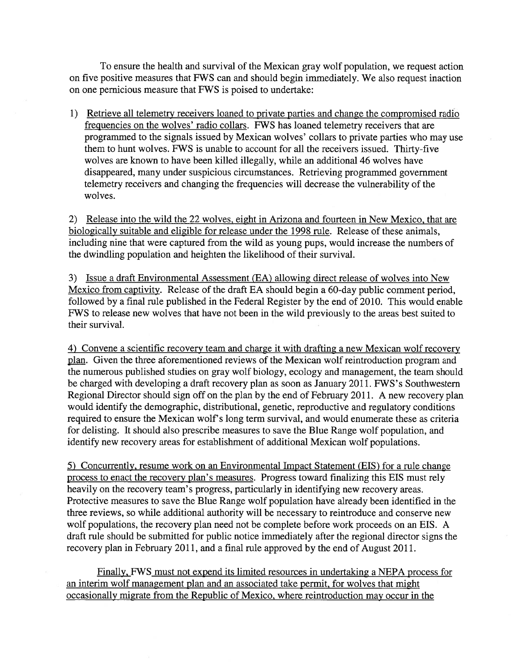To ensure the health and survival of the Mexican gray wolf population, we request action on five positive measures that FWS can and should begin immediately. We also request inaction on one pernicious measure that FWS is poised to undertake:

1) Retrieve all telemetry receivers loaned to private parties and change the compromised radio frequencies on the wolves' radio collars. FWS has loaned telemetry receivers that are programmed to the signals issued by Mexican wolves' collars to private parties who may use them to hunt wolves. FWS is unable to account for all the receivers issued. Thirty-five wolves are known to have been killed illegally, while an additional 46 wolves have disappeared, many under suspicious circumstances. Retrieving programmed government telemetry receivers and changing the frequencies will decrease the vulnerability of the wolves.

2) Release into the wild the 22 wolves, eight in Arizona and fourteen in New Mexico, that are biologically suitable and eligible for release under the 1998 rule. Release of these animals, including nine that were captured from the wild as young pups, would increase the numbers of the dwindling population and heighten the likelihood of their survival.

3) Issue <sup>a</sup> draft Environmental Assessment (EA) allowing direct release of wolves into New Mexico from captivity. Release of the draft EA should begin <sup>a</sup> 60-day public comment period, followed by <sup>a</sup> final rule published in the Federal Register by the end of 2010. This would enable FWS to release new wolves that have not been in the wild previously to the areas best suited to their survival.

4) Convene <sup>a</sup> scientific recovery team and charge it with drafting <sup>a</sup> new Mexican wolf recovery plan. Given the three aforementioned reviews of the Mexican wolf reintroduction program and the numerous published studies on gray wolf biology, ecology and management, the team should be charged with developing <sup>a</sup> draft recovery plan as soon as January 2011. FWS's Southwestern Regional Director should sign off on the plan by the end of February 2011. A new recovery plan would identify the demographic, distributional, genetic, reproductive and regulatory conditions required to ensure the Mexican wolf's long term survival, and would enumerate these as criteria for delisting. It should also prescribe measures to save the Blue Range wolf population, and identify new recovery areas for establishment of additional Mexican wolf populations.

5) Concurrently, resume work on an Environmental Impact Statement (EIS) for <sup>a</sup> rule change process to enact the recovery plan's measures. Progress toward finalizing this EIS must rely heavily on the recovery team's progress, particularly in identifying new recovery areas. Protective measures to save the Blue Range wolf population have already been identified in the three reviews, so while additional authority will be necessary to reintroduce and conserve new wolf populations, the recovery plan need not be complete before work proceeds on an EIS. A draft rule should be submitted for public notice immediately after the regional director signs the recovery plan in February 2011, and <sup>a</sup> final rule approved by the end of August 2011.

Finally, FWS must not expend its limited resources in undertaking <sup>a</sup> NEPA process for an interim wolf management plan and an associated take permit, for wolves that might occasionally migrate from the Republic of Mexico, where reintroduction may occur in the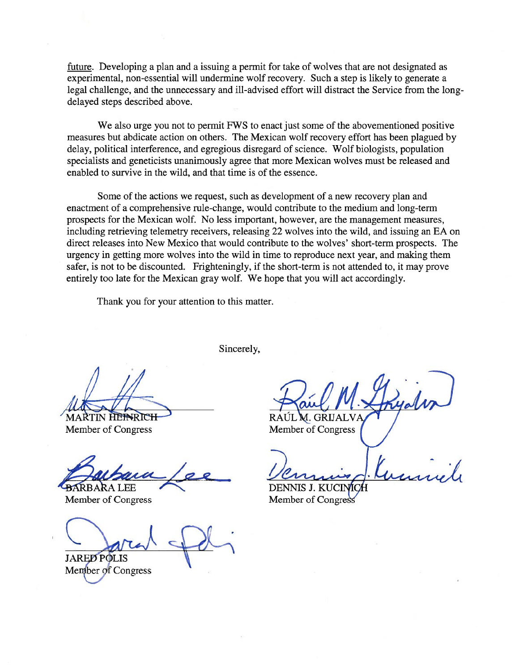future. Developing <sup>a</sup> plan and <sup>a</sup> issuing <sup>a</sup> permit for take of wolves that are not designated as experimental, non-essential will undermine wolf recovery. Such <sup>a</sup> step is likely to generate <sup>a</sup> legal challenge, and the unnecessary and ill-advised effort will distract the Service from the longdelayed steps described above.

We also urge you not to permit FWS to enact just some of the abovementioned positive measures but abdicate action on others. The Mexican wolf recovery effort has been plagued by delay, political interference, and egregious disregard of science. Wolf biologists, population specialists and geneticists unanimously agree that more Mexican wolves must be released and enabled to survive in the wild, and that time is of the essence.

Some of the actions we request, such as development of <sup>a</sup> new recovery plan and enactment of <sup>a</sup> comprehensive rule-change, would contribute to the medium and long-term prospects for the Mexican wolf. No less important, however, are the management measures, including retrieving telemetry receivers, releasing 22 wolves into the wild, and issuing an EA on direct releases into New Mexico that would contribute to the wolves' short-term prospects. The urgency in getting more wolves into the wild in time to reproduce next year, and making them safer, is not to be discounted. Frighteningly, if the short-term is not attended to, it may prove entirely too late for the Mexican gray wolf. We hope that you will act accordingly.

Thank you for your attention to this matter.

Sincerely,

 $t$ 

**MARTIN HEINRICH** Member of Congress

 $\rightarrow$ BARBARA LEE

Member of Congress

**JARED POLIS** 

Member of Congress

RAUL M. GRIJALVA Member of Congress

DENNIS J. KUC Member of Congress